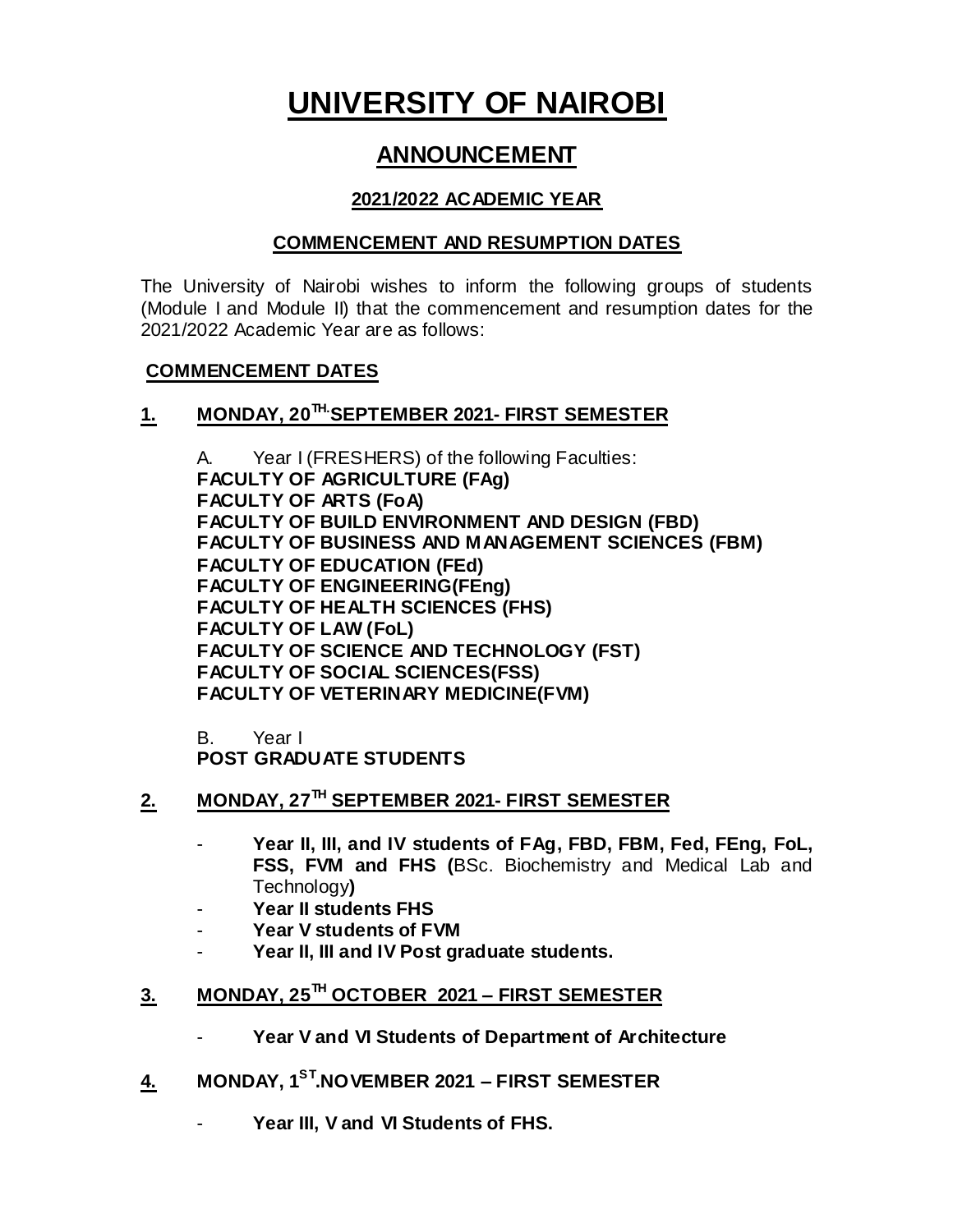# **UNIVERSITY OF NAIROBI**

# **ANNOUNCEMENT**

#### **2021/2022 ACADEMIC YEAR**

#### **COMMENCEMENT AND RESUMPTION DATES**

The University of Nairobi wishes to inform the following groups of students (Module I and Module II) that the commencement and resumption dates for the 2021/2022 Academic Year are as follows:

#### **COMMENCEMENT DATES**

#### **1. MONDAY, 20 TH.SEPTEMBER 2021- FIRST SEMESTER**

A. Year I (FRESHERS) of the following Faculties: **FACULTY OF AGRICULTURE (FAg) FACULTY OF ARTS (FoA) FACULTY OF BUILD ENVIRONMENT AND DESIGN (FBD) FACULTY OF BUSINESS AND MANAGEMENT SCIENCES (FBM) FACULTY OF EDUCATION (FEd) FACULTY OF ENGINEERING(FEng) FACULTY OF HEALTH SCIENCES (FHS) FACULTY OF LAW (FoL) FACULTY OF SCIENCE AND TECHNOLOGY (FST) FACULTY OF SOCIAL SCIENCES(FSS) FACULTY OF VETERINARY MEDICINE(FVM)**

B. Year I **POST GRADUATE STUDENTS**

- **2. MONDAY, 27TH SEPTEMBER 2021- FIRST SEMESTER**
	- **Year II, III, and IV students of FAg, FBD, FBM, Fed, FEng, FoL, FSS, FVM and FHS (**BSc. Biochemistry and Medical Lab and Technology**)**
	- **Year II students FHS**
	- **Year V students of FVM**
	- **Year II, III and IV Post graduate students.**
- **3. MONDAY, 25 TH OCTOBER 2021 – FIRST SEMESTER**
	- Year V and VI Students of Department of Architecture
- **4. MONDAY, 1ST.NOVEMBER 2021 – FIRST SEMESTER**
	- Year III, V and VI Students of FHS.